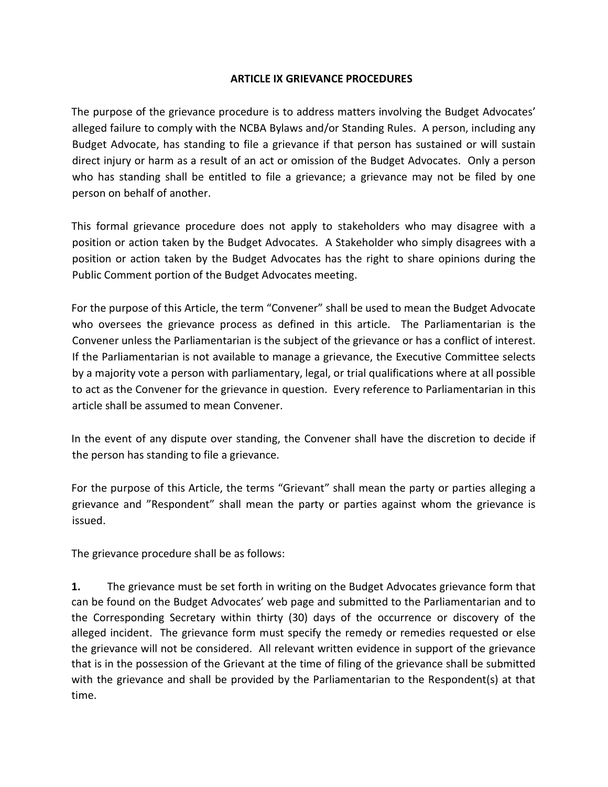## ARTICLE IX GRIEVANCE PROCEDURES

The purpose of the grievance procedure is to address matters involving the Budget Advocates' alleged failure to comply with the NCBA Bylaws and/or Standing Rules. A person, including any Budget Advocate, has standing to file a grievance if that person has sustained or will sustain direct injury or harm as a result of an act or omission of the Budget Advocates. Only a person who has standing shall be entitled to file a grievance; a grievance may not be filed by one person on behalf of another.

This formal grievance procedure does not apply to stakeholders who may disagree with a position or action taken by the Budget Advocates. A Stakeholder who simply disagrees with a position or action taken by the Budget Advocates has the right to share opinions during the Public Comment portion of the Budget Advocates meeting.

For the purpose of this Article, the term "Convener" shall be used to mean the Budget Advocate who oversees the grievance process as defined in this article. The Parliamentarian is the Convener unless the Parliamentarian is the subject of the grievance or has a conflict of interest. If the Parliamentarian is not available to manage a grievance, the Executive Committee selects by a majority vote a person with parliamentary, legal, or trial qualifications where at all possible to act as the Convener for the grievance in question. Every reference to Parliamentarian in this article shall be assumed to mean Convener.

In the event of any dispute over standing, the Convener shall have the discretion to decide if the person has standing to file a grievance.

For the purpose of this Article, the terms "Grievant" shall mean the party or parties alleging a grievance and "Respondent" shall mean the party or parties against whom the grievance is issued.

The grievance procedure shall be as follows:

1. The grievance must be set forth in writing on the Budget Advocates grievance form that can be found on the Budget Advocates' web page and submitted to the Parliamentarian and to the Corresponding Secretary within thirty (30) days of the occurrence or discovery of the alleged incident. The grievance form must specify the remedy or remedies requested or else the grievance will not be considered. All relevant written evidence in support of the grievance that is in the possession of the Grievant at the time of filing of the grievance shall be submitted with the grievance and shall be provided by the Parliamentarian to the Respondent(s) at that time.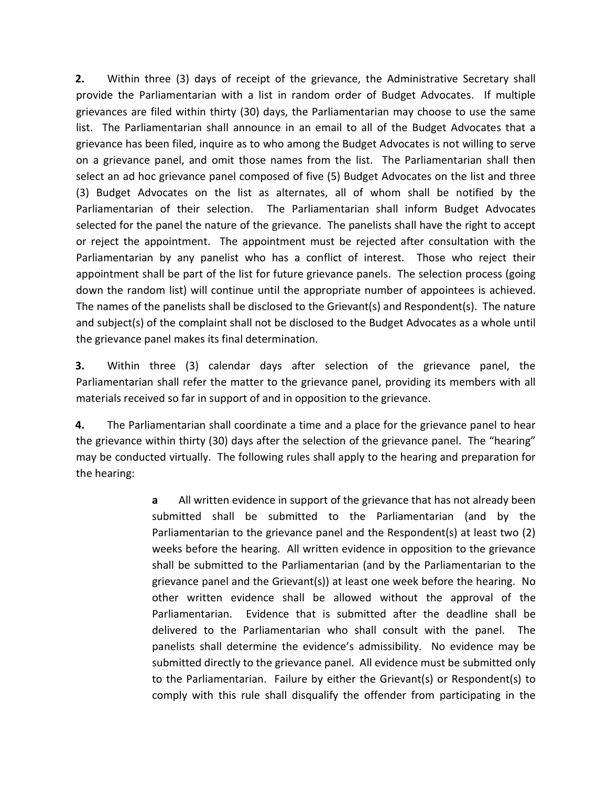2. Within three (3) days of receipt of the grievance, the Administrative Secretary shall provide the Parliamentarian with a list in random order of Budget Advocates. If multiple grievances are filed within thirty (30) days, the Parliamentarian may choose to use the same list. The Parliamentarian shall announce in an email to all of the Budget Advocates that a grievance has been filed, inquire as to who among the Budget Advocates is not willing to serve on a grievance panel, and omit those names from the list. The Parliamentarian shall then select an ad hoc grievance panel composed of five (5) Budget Advocates on the list and three (3) Budget Advocates on the list as alternates, all of whom shall be notified by the Parliamentarian of their selection. The Parliamentarian shall inform Budget Advocates selected for the panel the nature of the grievance. The panelists shall have the right to accept or reject the appointment. The appointment must be rejected after consultation with the Parliamentarian by any panelist who has a conflict of interest. Those who reject their appointment shall be part of the list for future grievance panels. The selection process (going down the random list) will continue until the appropriate number of appointees is achieved. The names of the panelists shall be disclosed to the Grievant(s) and Respondent(s). The nature and subject(s) of the complaint shall not be disclosed to the Budget Advocates as a whole until the grievance panel makes its final determination.

3. Within three (3) calendar days after selection of the grievance panel, the Parliamentarian shall refer the matter to the grievance panel, providing its members with all materials received so far in support of and in opposition to the grievance.

4. The Parliamentarian shall coordinate a time and a place for the grievance panel to hear the grievance within thirty (30) days after the selection of the grievance panel. The "hearing" may be conducted virtually. The following rules shall apply to the hearing and preparation for the hearing:

> a All written evidence in support of the grievance that has not already been submitted shall be submitted to the Parliamentarian (and by the Parliamentarian to the grievance panel and the Respondent(s) at least two (2) weeks before the hearing. All written evidence in opposition to the grievance shall be submitted to the Parliamentarian (and by the Parliamentarian to the grievance panel and the Grievant(s)) at least one week before the hearing. No other written evidence shall be allowed without the approval of the Parliamentarian. Evidence that is submitted after the deadline shall be delivered to the Parliamentarian who shall consult with the panel. The panelists shall determine the evidence's admissibility. No evidence may be submitted directly to the grievance panel. All evidence must be submitted only to the Parliamentarian. Failure by either the Grievant(s) or Respondent(s) to comply with this rule shall disqualify the offender from participating in the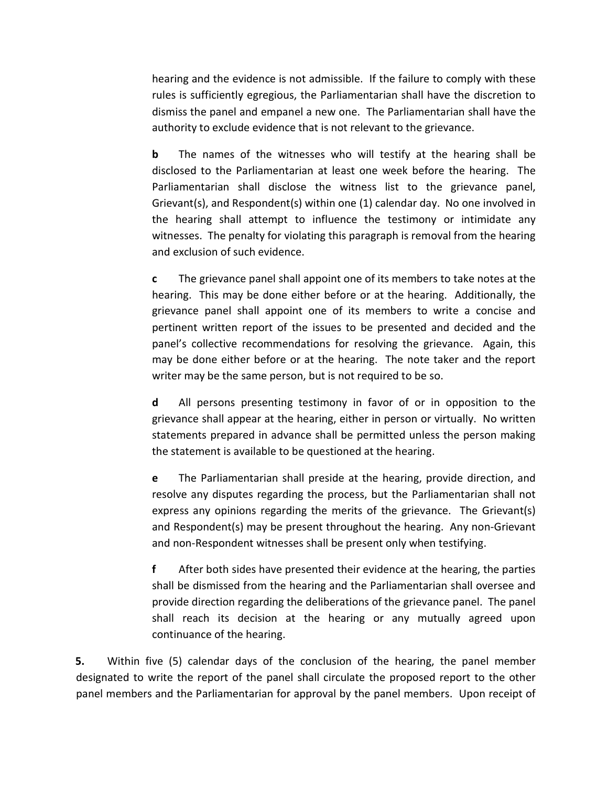hearing and the evidence is not admissible. If the failure to comply with these rules is sufficiently egregious, the Parliamentarian shall have the discretion to dismiss the panel and empanel a new one. The Parliamentarian shall have the authority to exclude evidence that is not relevant to the grievance.

**b** The names of the witnesses who will testify at the hearing shall be disclosed to the Parliamentarian at least one week before the hearing. The Parliamentarian shall disclose the witness list to the grievance panel, Grievant(s), and Respondent(s) within one (1) calendar day. No one involved in the hearing shall attempt to influence the testimony or intimidate any witnesses. The penalty for violating this paragraph is removal from the hearing and exclusion of such evidence.

c The grievance panel shall appoint one of its members to take notes at the hearing. This may be done either before or at the hearing. Additionally, the grievance panel shall appoint one of its members to write a concise and pertinent written report of the issues to be presented and decided and the panel's collective recommendations for resolving the grievance. Again, this may be done either before or at the hearing. The note taker and the report writer may be the same person, but is not required to be so.

d All persons presenting testimony in favor of or in opposition to the grievance shall appear at the hearing, either in person or virtually. No written statements prepared in advance shall be permitted unless the person making the statement is available to be questioned at the hearing.

e The Parliamentarian shall preside at the hearing, provide direction, and resolve any disputes regarding the process, but the Parliamentarian shall not express any opinions regarding the merits of the grievance. The Grievant(s) and Respondent(s) may be present throughout the hearing. Any non-Grievant and non-Respondent witnesses shall be present only when testifying.

f After both sides have presented their evidence at the hearing, the parties shall be dismissed from the hearing and the Parliamentarian shall oversee and provide direction regarding the deliberations of the grievance panel. The panel shall reach its decision at the hearing or any mutually agreed upon continuance of the hearing.

5. Within five (5) calendar days of the conclusion of the hearing, the panel member designated to write the report of the panel shall circulate the proposed report to the other panel members and the Parliamentarian for approval by the panel members. Upon receipt of